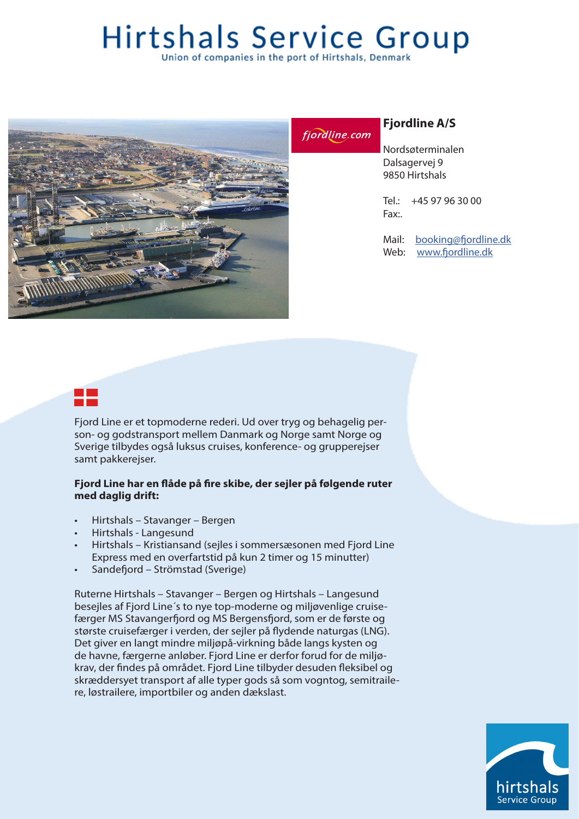## **Hirtshals Service Group** Union of companies in the port of Hirtshals, Denmark



### fjordline.com

### **Fjordline A/S**

Nordsøterminalen Dalsagervej 9 9850 Hirtshals

Tel.: +45 97 96 30 00 Fax:.

Mail: booking@fjordline.dk Web: www.fjordline.dk

Fjord Line er et topmoderne rederi. Ud over tryg og behagelig person- og godstransport mellem Danmark og Norge samt Norge og Sverige tilbydes også luksus cruises, konference- og grupperejser samt pakkerejser.

#### **Fjord Line har en flåde på fire skibe, der sejler på følgende ruter med daglig drift:**

- Hirtshals Stavanger Bergen
- Hirtshals Langesund
- Hirtshals Kristiansand (sejles i sommersæsonen med Fjord Line Express med en overfartstid på kun 2 timer og 15 minutter)
- Sandefjord Strömstad (Sverige)

Ruterne Hirtshals – Stavanger – Bergen og Hirtshals – Langesund besejles af Fjord Line´s to nye top-moderne og miljøvenlige cruisefærger MS Stavangerfjord og MS Bergensfjord, som er de første og største cruisefærger i verden, der sejler på flydende naturgas (LNG). Det giver en langt mindre miljøpå-virkning både langs kysten og de havne, færgerne anløber. Fjord Line er derfor forud for de miljøkrav, der findes på området. Fjord Line tilbyder desuden fleksibel og skræddersyet transport af alle typer gods så som vogntog, semitrailere, løstrailere, importbiler og anden dækslast.